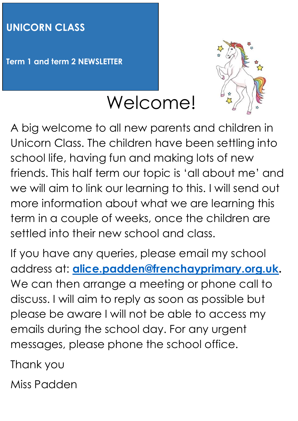## **UNICORN CLASS**

**Term 1 and term 2 NEWSLETTER**



A big welcome to all new parents and children in Unicorn Class. The children have been settling into school life, having fun and making lots of new friends. This half term our topic is 'all about me' and we will aim to link our learning to this. I will send out more information about what we are learning this term in a couple of weeks, once the children are settled into their new school and class.

Welcome!

If you have any queries, please email my school address at: **[alice.padden@frenchayprimary.org.uk.](mailto:alice.padden@frenchayprimary.org.uk)**  We can then arrange a meeting or phone call to discuss. I will aim to reply as soon as possible but please be aware I will not be able to access my emails during the school day. For any urgent messages, please phone the school office.

Thank you

Miss Padden